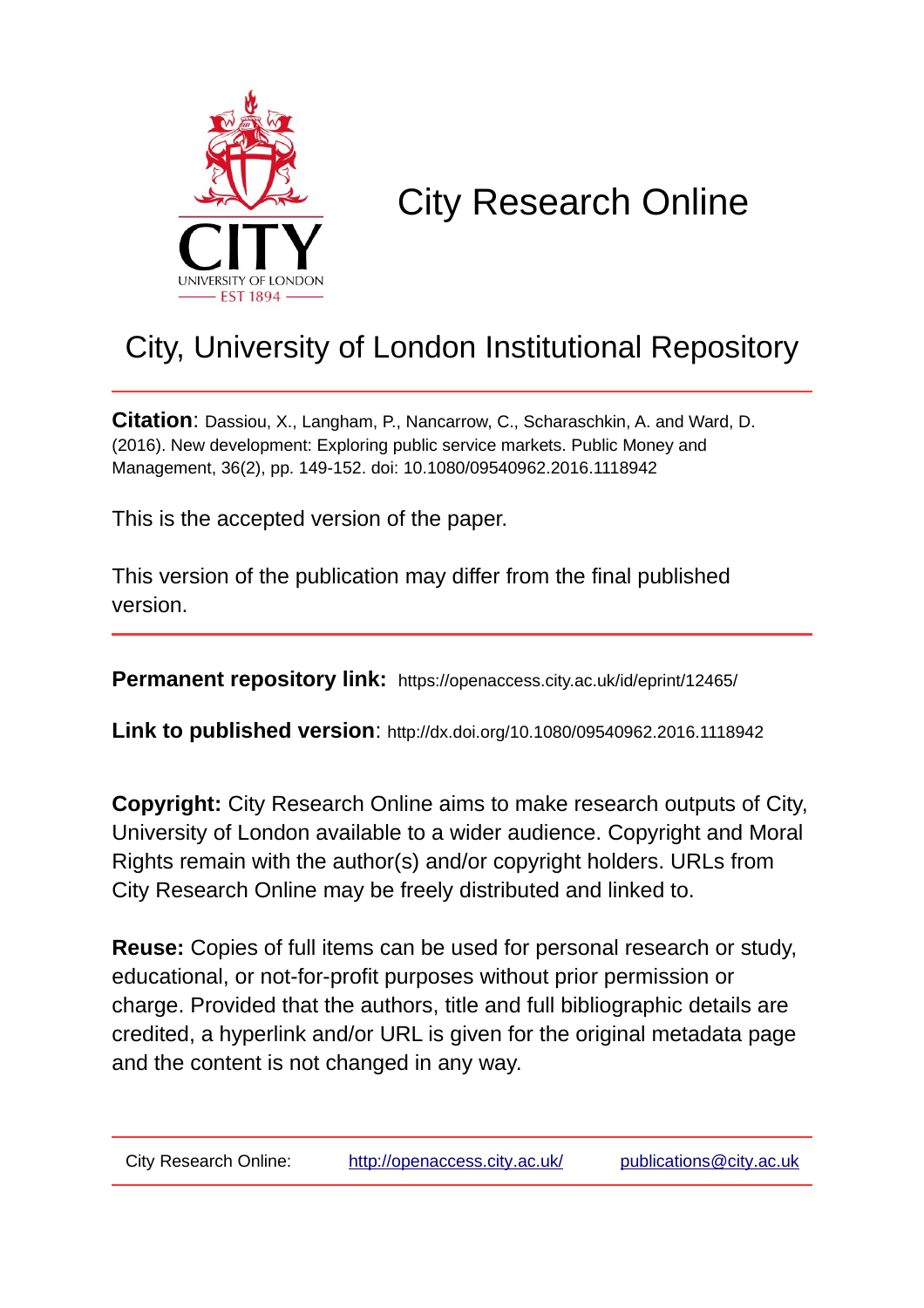

# City Research Online

# City, University of London Institutional Repository

**Citation**: Dassiou, X., Langham, P., Nancarrow, C., Scharaschkin, A. and Ward, D. (2016). New development: Exploring public service markets. Public Money and Management, 36(2), pp. 149-152. doi: 10.1080/09540962.2016.1118942

This is the accepted version of the paper.

This version of the publication may differ from the final published version.

**Permanent repository link:** https://openaccess.city.ac.uk/id/eprint/12465/

**Link to published version**: http://dx.doi.org/10.1080/09540962.2016.1118942

**Copyright:** City Research Online aims to make research outputs of City, University of London available to a wider audience. Copyright and Moral Rights remain with the author(s) and/or copyright holders. URLs from City Research Online may be freely distributed and linked to.

**Reuse:** Copies of full items can be used for personal research or study, educational, or not-for-profit purposes without prior permission or charge. Provided that the authors, title and full bibliographic details are credited, a hyperlink and/or URL is given for the original metadata page and the content is not changed in any way.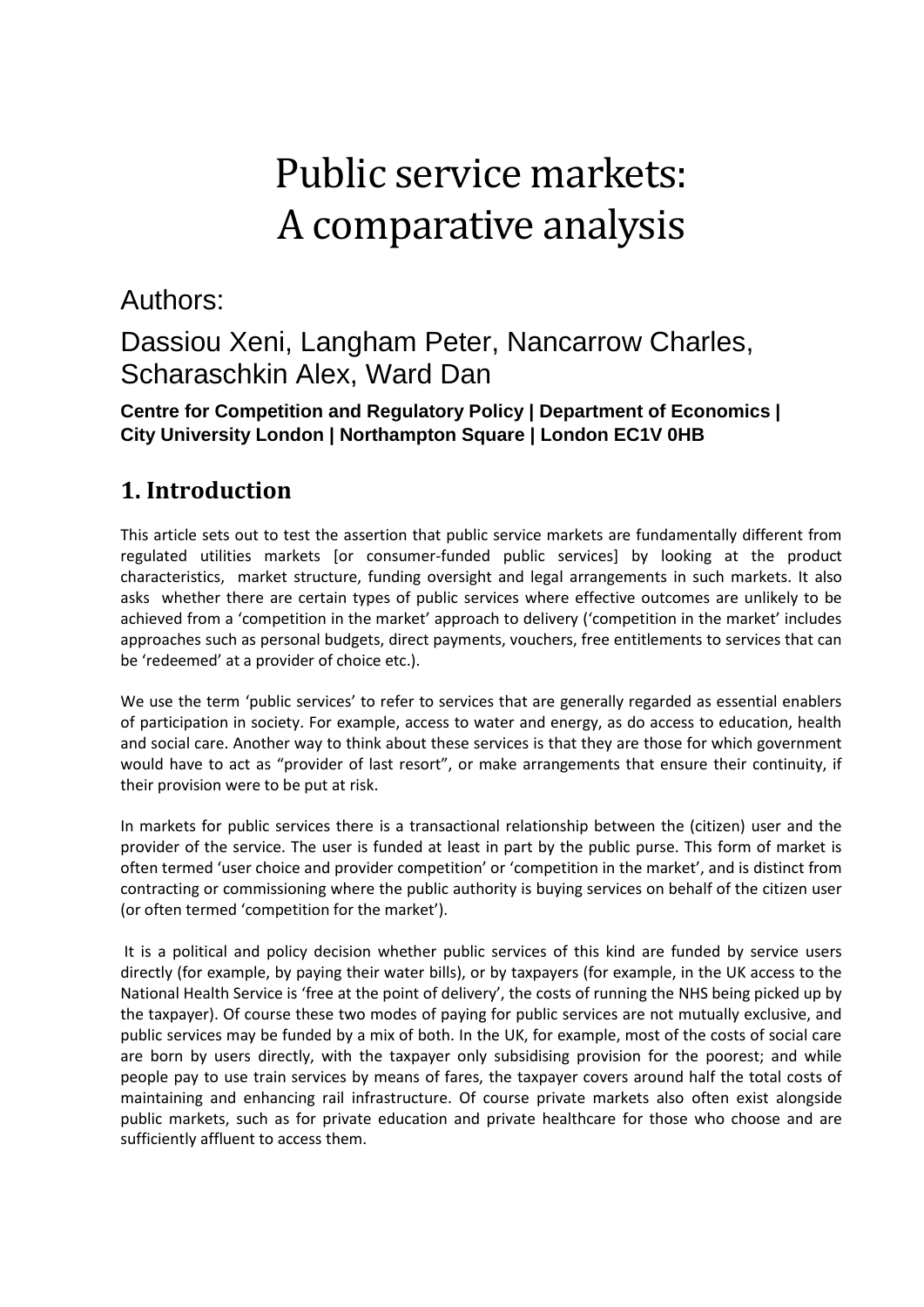# Public service markets: A comparative analysis

# Authors:

# Dassiou Xeni, Langham Peter, Nancarrow Charles, Scharaschkin Alex, Ward Dan

#### **Centre for Competition and Regulatory Policy | Department of Economics | City University London | Northampton Square | London EC1V 0HB**

# **1. Introduction**

This article sets out to test the assertion that public service markets are fundamentally different from regulated utilities markets [or consumer-funded public services] by looking at the product characteristics, market structure, funding oversight and legal arrangements in such markets. It also asks whether there are certain types of public services where effective outcomes are unlikely to be achieved from a 'competition in the market' approach to delivery ('competition in the market' includes approaches such as personal budgets, direct payments, vouchers, free entitlements to services that can be 'redeemed' at a provider of choice etc.).

We use the term 'public services' to refer to services that are generally regarded as essential enablers of participation in society. For example, access to water and energy, as do access to education, health and social care. Another way to think about these services is that they are those for which government would have to act as "provider of last resort", or make arrangements that ensure their continuity, if their provision were to be put at risk.

In markets for public services there is a transactional relationship between the (citizen) user and the provider of the service. The user is funded at least in part by the public purse. This form of market is often termed 'user choice and provider competition' or 'competition in the market', and is distinct from contracting or commissioning where the public authority is buying services on behalf of the citizen user (or often termed 'competition for the market').

It is a political and policy decision whether public services of this kind are funded by service users directly (for example, by paying their water bills), or by taxpayers (for example, in the UK access to the National Health Service is 'free at the point of delivery', the costs of running the NHS being picked up by the taxpayer). Of course these two modes of paying for public services are not mutually exclusive, and public services may be funded by a mix of both. In the UK, for example, most of the costs of social care are born by users directly, with the taxpayer only subsidising provision for the poorest; and while people pay to use train services by means of fares, the taxpayer covers around half the total costs of maintaining and enhancing rail infrastructure. Of course private markets also often exist alongside public markets, such as for private education and private healthcare for those who choose and are sufficiently affluent to access them.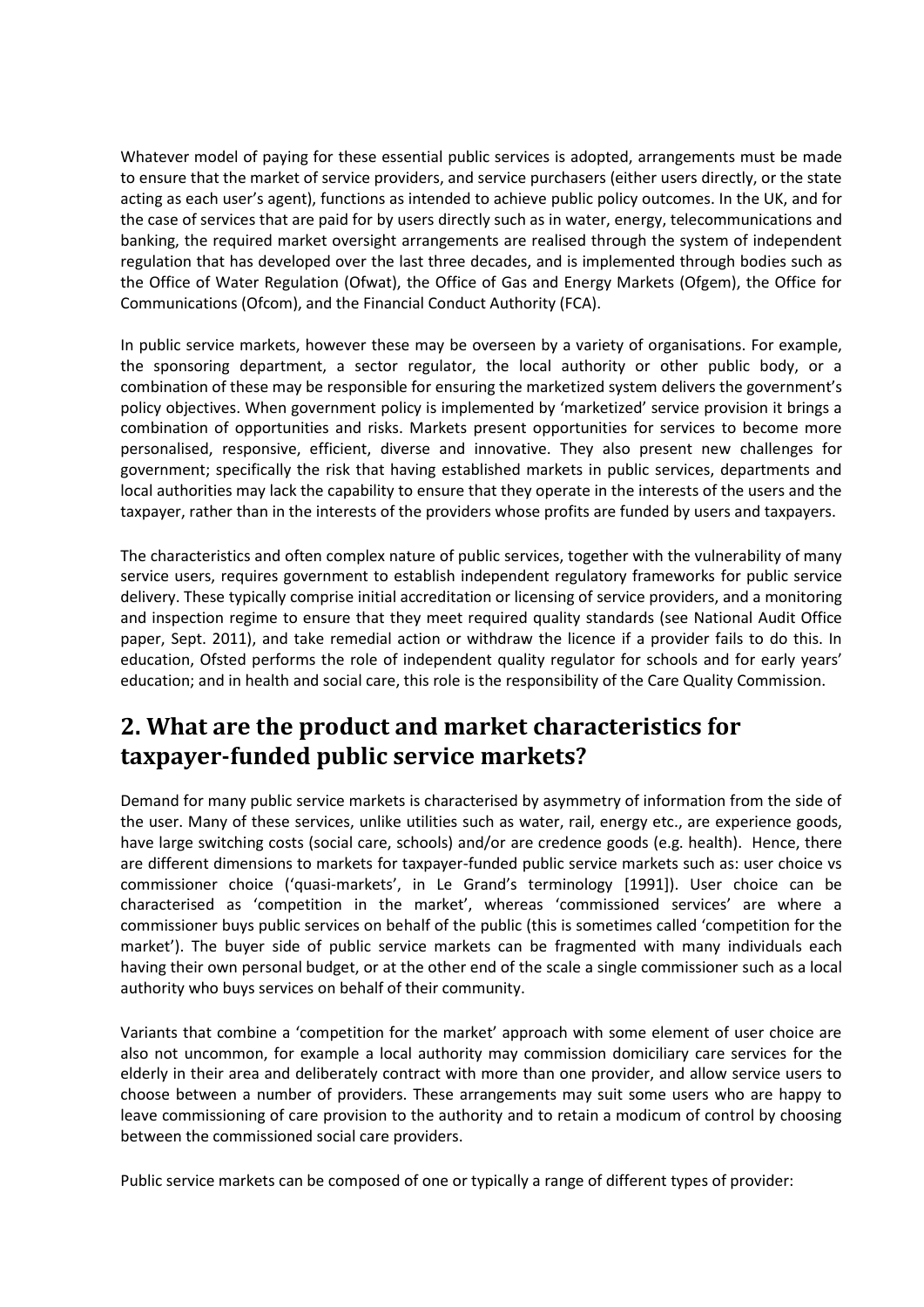Whatever model of paying for these essential public services is adopted, arrangements must be made to ensure that the market of service providers, and service purchasers (either users directly, or the state acting as each user's agent), functions as intended to achieve public policy outcomes. In the UK, and for the case of services that are paid for by users directly such as in water, energy, telecommunications and banking, the required market oversight arrangements are realised through the system of independent regulation that has developed over the last three decades, and is implemented through bodies such as the Office of Water Regulation (Ofwat), the Office of Gas and Energy Markets (Ofgem), the Office for Communications (Ofcom), and the Financial Conduct Authority (FCA).

In public service markets, however these may be overseen by a variety of organisations. For example, the sponsoring department, a sector regulator, the local authority or other public body, or a combination of these may be responsible for ensuring the marketized system delivers the government's policy objectives. When government policy is implemented by 'marketized' service provision it brings a combination of opportunities and risks. Markets present opportunities for services to become more personalised, responsive, efficient, diverse and innovative. They also present new challenges for government; specifically the risk that having established markets in public services, departments and local authorities may lack the capability to ensure that they operate in the interests of the users and the taxpayer, rather than in the interests of the providers whose profits are funded by users and taxpayers.

The characteristics and often complex nature of public services, together with the vulnerability of many service users, requires government to establish independent regulatory frameworks for public service delivery. These typically comprise initial accreditation or licensing of service providers, and a monitoring and inspection regime to ensure that they meet required quality standards (see National Audit Office paper, Sept. 2011), and take remedial action or withdraw the licence if a provider fails to do this. In education, Ofsted performs the role of independent quality regulator for schools and for early years' education; and in health and social care, this role is the responsibility of the Care Quality Commission.

#### **2. What are the product and market characteristics for taxpayer-funded public service markets?**

Demand for many public service markets is characterised by asymmetry of information from the side of the user. Many of these services, unlike utilities such as water, rail, energy etc., are experience goods, have large switching costs (social care, schools) and/or are credence goods (e.g. health). Hence, there are different dimensions to markets for taxpayer-funded public service markets such as: user choice vs commissioner choice ('quasi-markets', in Le Grand's terminology [1991]). User choice can be characterised as 'competition in the market', whereas 'commissioned services' are where a commissioner buys public services on behalf of the public (this is sometimes called 'competition for the market'). The buyer side of public service markets can be fragmented with many individuals each having their own personal budget, or at the other end of the scale a single commissioner such as a local authority who buys services on behalf of their community.

Variants that combine a 'competition for the market' approach with some element of user choice are also not uncommon, for example a local authority may commission domiciliary care services for the elderly in their area and deliberately contract with more than one provider, and allow service users to choose between a number of providers. These arrangements may suit some users who are happy to leave commissioning of care provision to the authority and to retain a modicum of control by choosing between the commissioned social care providers.

Public service markets can be composed of one or typically a range of different types of provider: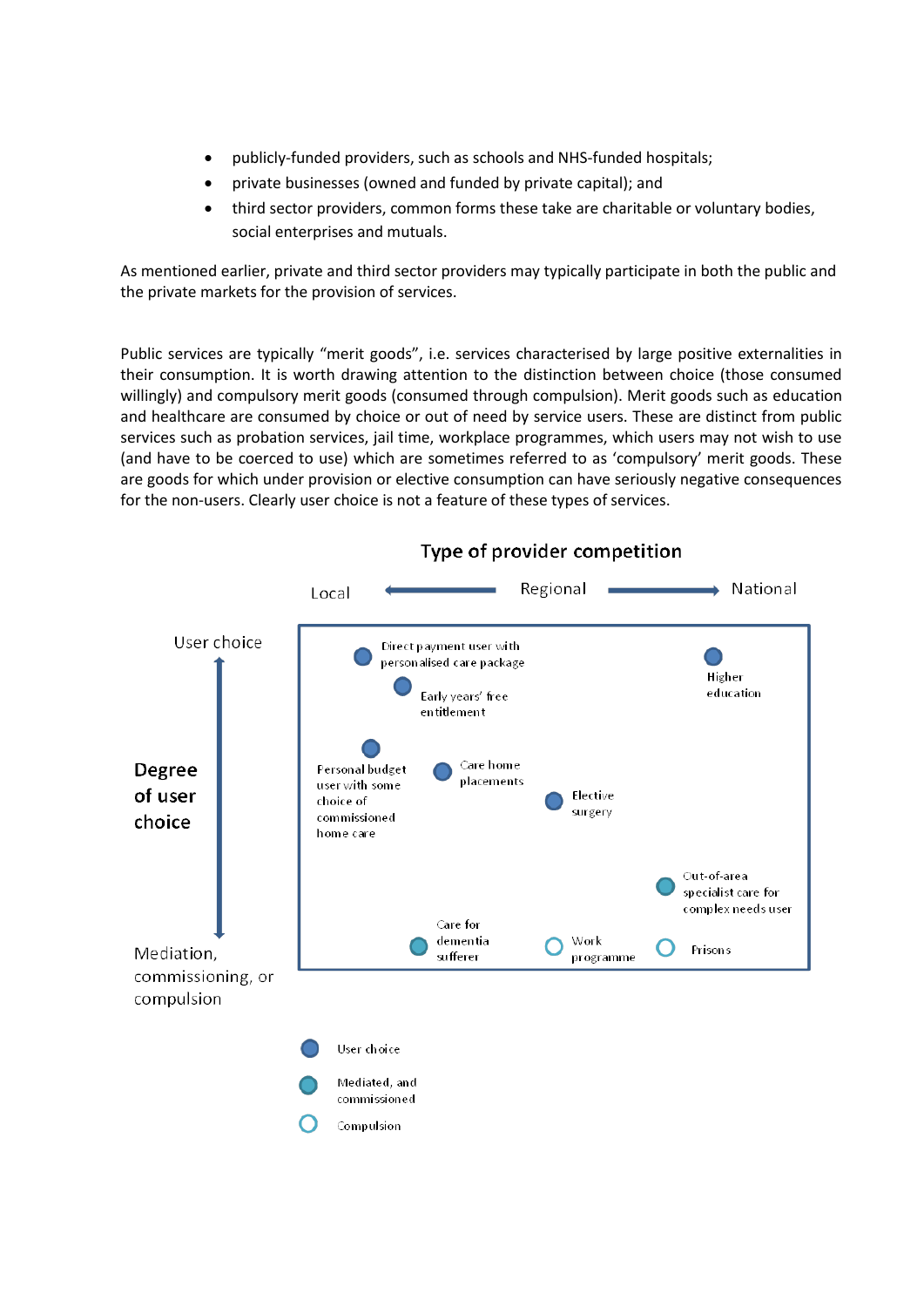- publicly-funded providers, such as schools and NHS-funded hospitals;
- private businesses (owned and funded by private capital); and
- third sector providers, common forms these take are charitable or voluntary bodies, social enterprises and mutuals.

As mentioned earlier, private and third sector providers may typically participate in both the public and the private markets for the provision of services.

Public services are typically "merit goods", i.e. services characterised by large positive externalities in their consumption. It is worth drawing attention to the distinction between choice (those consumed willingly) and compulsory merit goods (consumed through compulsion). Merit goods such as education and healthcare are consumed by choice or out of need by service users. These are distinct from public services such as probation services, jail time, workplace programmes, which users may not wish to use (and have to be coerced to use) which are sometimes referred to as 'compulsory' merit goods. These are goods for which under provision or elective consumption can have seriously negative consequences for the non-users. Clearly user choice is not a feature of these types of services.



#### Type of provider competition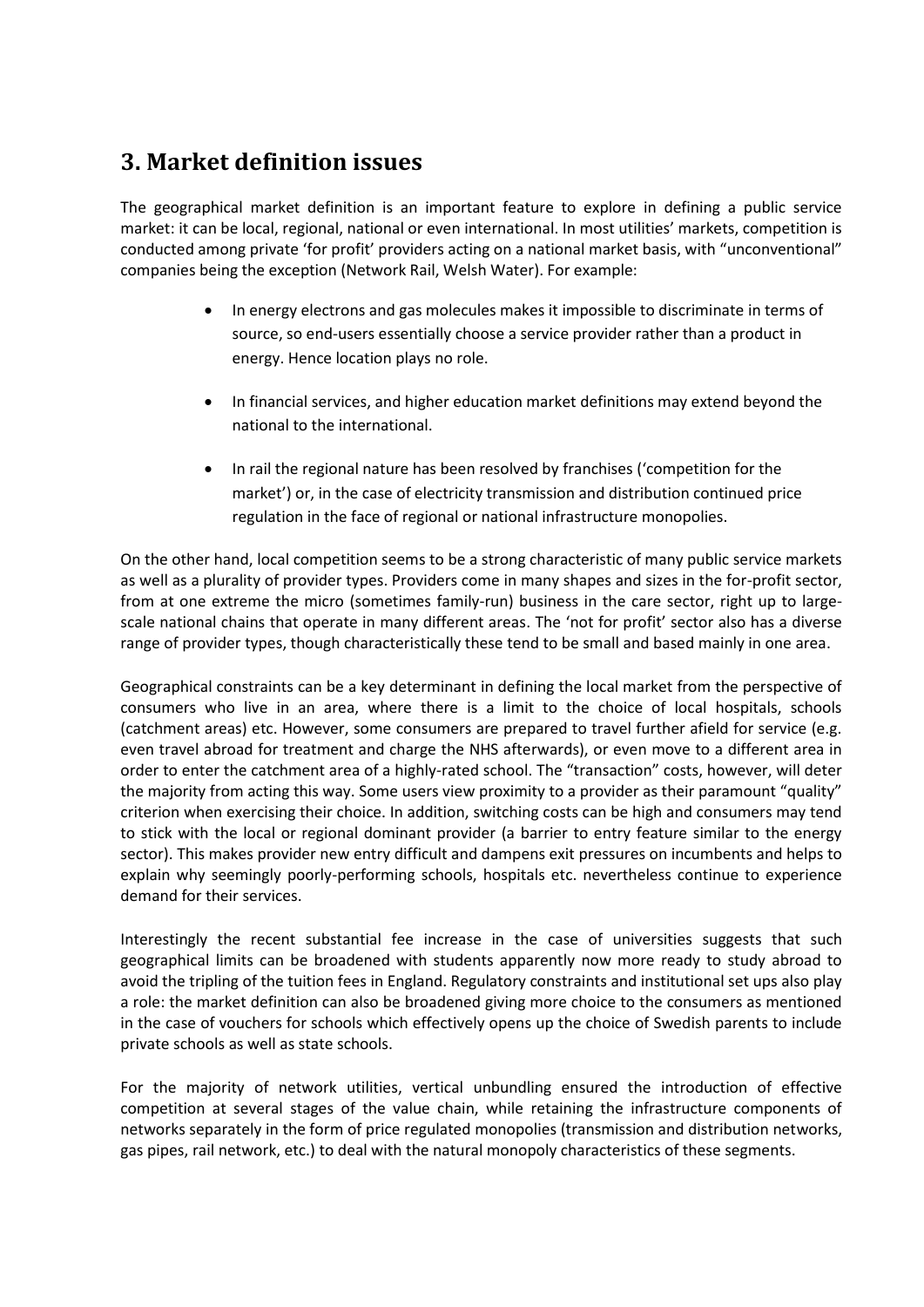### **3. Market definition issues**

The geographical market definition is an important feature to explore in defining a public service market: it can be local, regional, national or even international. In most utilities' markets, competition is conducted among private 'for profit' providers acting on a national market basis, with "unconventional" companies being the exception (Network Rail, Welsh Water). For example:

- In energy electrons and gas molecules makes it impossible to discriminate in terms of source, so end-users essentially choose a service provider rather than a product in energy. Hence location plays no role.
- In financial services, and higher education market definitions may extend beyond the national to the international.
- In rail the regional nature has been resolved by franchises ('competition for the market') or, in the case of electricity transmission and distribution continued price regulation in the face of regional or national infrastructure monopolies.

On the other hand, local competition seems to be a strong characteristic of many public service markets as well as a plurality of provider types. Providers come in many shapes and sizes in the for-profit sector, from at one extreme the micro (sometimes family-run) business in the care sector, right up to largescale national chains that operate in many different areas. The 'not for profit' sector also has a diverse range of provider types, though characteristically these tend to be small and based mainly in one area.

Geographical constraints can be a key determinant in defining the local market from the perspective of consumers who live in an area, where there is a limit to the choice of local hospitals, schools (catchment areas) etc. However, some consumers are prepared to travel further afield for service (e.g. even travel abroad for treatment and charge the NHS afterwards), or even move to a different area in order to enter the catchment area of a highly-rated school. The "transaction" costs, however, will deter the majority from acting this way. Some users view proximity to a provider as their paramount "quality" criterion when exercising their choice. In addition, switching costs can be high and consumers may tend to stick with the local or regional dominant provider (a barrier to entry feature similar to the energy sector). This makes provider new entry difficult and dampens exit pressures on incumbents and helps to explain why seemingly poorly-performing schools, hospitals etc. nevertheless continue to experience demand for their services.

Interestingly the recent substantial fee increase in the case of universities suggests that such geographical limits can be broadened with students apparently now more ready to study abroad to avoid the tripling of the tuition fees in England. Regulatory constraints and institutional set ups also play a role: the market definition can also be broadened giving more choice to the consumers as mentioned in the case of vouchers for schools which effectively opens up the choice of Swedish parents to include private schools as well as state schools.

For the majority of network utilities, vertical unbundling ensured the introduction of effective competition at several stages of the value chain, while retaining the infrastructure components of networks separately in the form of price regulated monopolies (transmission and distribution networks, gas pipes, rail network, etc.) to deal with the natural monopoly characteristics of these segments.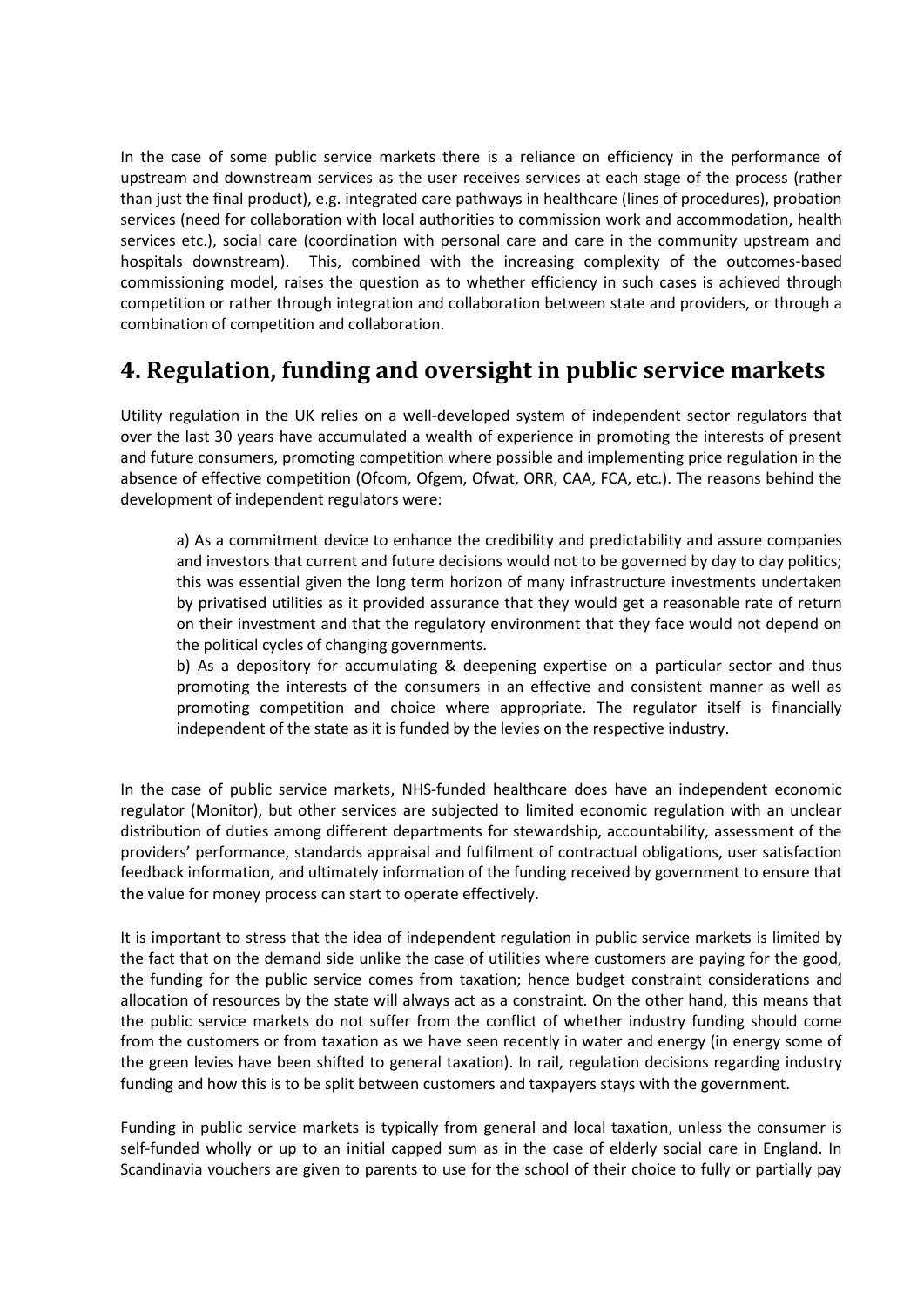In the case of some public service markets there is a reliance on efficiency in the performance of upstream and downstream services as the user receives services at each stage of the process (rather than just the final product), e.g. integrated care pathways in healthcare (lines of procedures), probation services (need for collaboration with local authorities to commission work and accommodation, health services etc.), social care (coordination with personal care and care in the community upstream and hospitals downstream). This, combined with the increasing complexity of the outcomes-based commissioning model, raises the question as to whether efficiency in such cases is achieved through competition or rather through integration and collaboration between state and providers, or through a combination of competition and collaboration.

### **4. Regulation, funding and oversight in public service markets**

Utility regulation in the UK relies on a well-developed system of independent sector regulators that over the last 30 years have accumulated a wealth of experience in promoting the interests of present and future consumers, promoting competition where possible and implementing price regulation in the absence of effective competition (Ofcom, Ofgem, Ofwat, ORR, CAA, FCA, etc.). The reasons behind the development of independent regulators were:

a) As a commitment device to enhance the credibility and predictability and assure companies and investors that current and future decisions would not to be governed by day to day politics; this was essential given the long term horizon of many infrastructure investments undertaken by privatised utilities as it provided assurance that they would get a reasonable rate of return on their investment and that the regulatory environment that they face would not depend on the political cycles of changing governments.

b) As a depository for accumulating & deepening expertise on a particular sector and thus promoting the interests of the consumers in an effective and consistent manner as well as promoting competition and choice where appropriate. The regulator itself is financially independent of the state as it is funded by the levies on the respective industry.

In the case of public service markets, NHS-funded healthcare does have an independent economic regulator (Monitor), but other services are subjected to limited economic regulation with an unclear distribution of duties among different departments for stewardship, accountability, assessment of the providers' performance, standards appraisal and fulfilment of contractual obligations, user satisfaction feedback information, and ultimately information of the funding received by government to ensure that the value for money process can start to operate effectively.

It is important to stress that the idea of independent regulation in public service markets is limited by the fact that on the demand side unlike the case of utilities where customers are paying for the good, the funding for the public service comes from taxation; hence budget constraint considerations and allocation of resources by the state will always act as a constraint. On the other hand, this means that the public service markets do not suffer from the conflict of whether industry funding should come from the customers or from taxation as we have seen recently in water and energy (in energy some of the green levies have been shifted to general taxation). In rail, regulation decisions regarding industry funding and how this is to be split between customers and taxpayers stays with the government.

Funding in public service markets is typically from general and local taxation, unless the consumer is self-funded wholly or up to an initial capped sum as in the case of elderly social care in England. In Scandinavia vouchers are given to parents to use for the school of their choice to fully or partially pay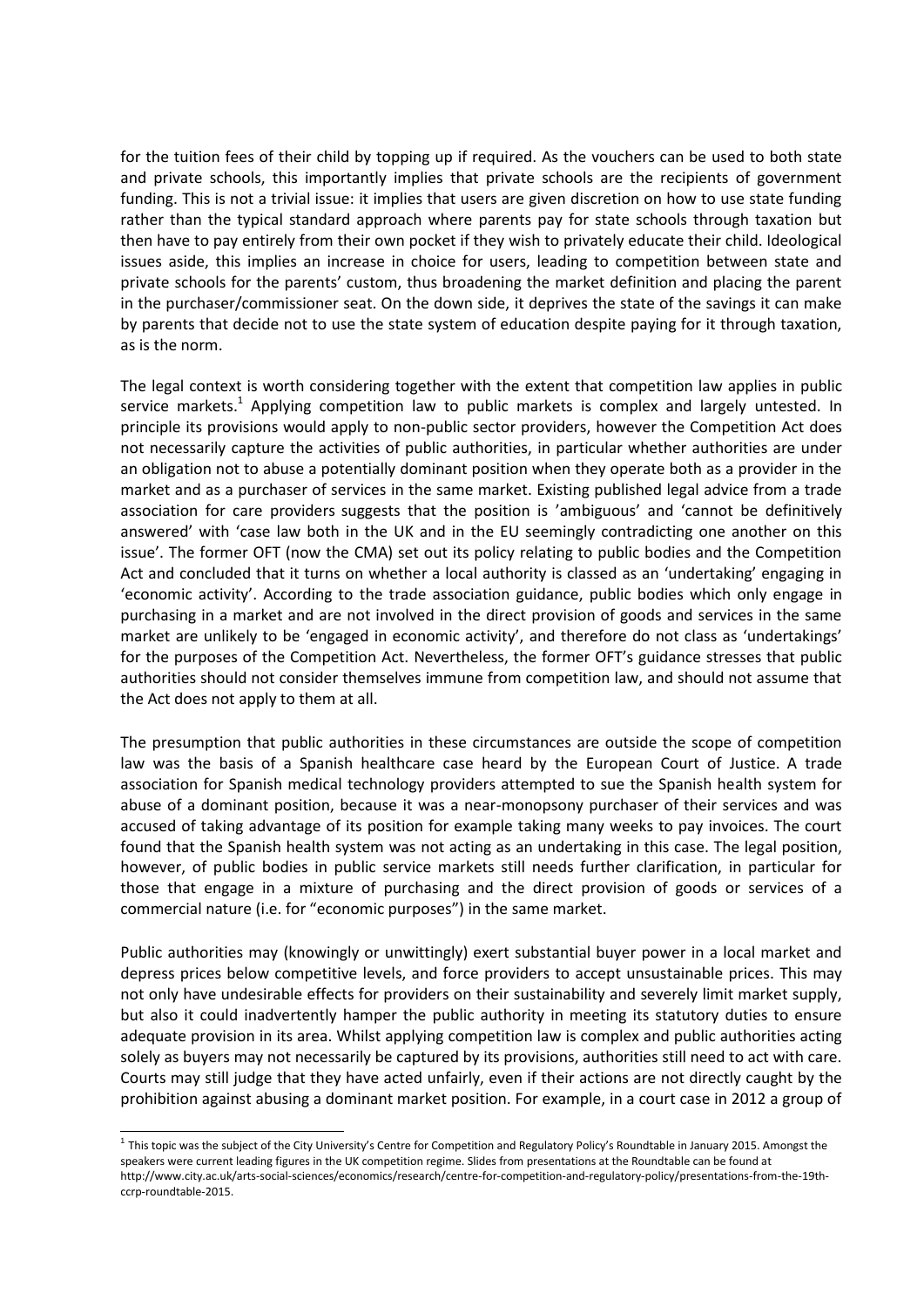for the tuition fees of their child by topping up if required. As the vouchers can be used to both state and private schools, this importantly implies that private schools are the recipients of government funding. This is not a trivial issue: it implies that users are given discretion on how to use state funding rather than the typical standard approach where parents pay for state schools through taxation but then have to pay entirely from their own pocket if they wish to privately educate their child. Ideological issues aside, this implies an increase in choice for users, leading to competition between state and private schools for the parents' custom, thus broadening the market definition and placing the parent in the purchaser/commissioner seat. On the down side, it deprives the state of the savings it can make by parents that decide not to use the state system of education despite paying for it through taxation, as is the norm.

The legal context is worth considering together with the extent that competition law applies in public service markets.<sup>1</sup> Applying competition law to public markets is complex and largely untested. In principle its provisions would apply to non-public sector providers, however the Competition Act does not necessarily capture the activities of public authorities, in particular whether authorities are under an obligation not to abuse a potentially dominant position when they operate both as a provider in the market and as a purchaser of services in the same market. Existing published legal advice from a trade association for care providers suggests that the position is 'ambiguous' and 'cannot be definitively answered' with 'case law both in the UK and in the EU seemingly contradicting one another on this issue'. The former OFT (now the CMA) set out its policy relating to public bodies and the Competition Act and concluded that it turns on whether a local authority is classed as an 'undertaking' engaging in 'economic activity'. According to the trade association guidance, public bodies which only engage in purchasing in a market and are not involved in the direct provision of goods and services in the same market are unlikely to be 'engaged in economic activity', and therefore do not class as 'undertakings' for the purposes of the Competition Act. Nevertheless, the former OFT's guidance stresses that public authorities should not consider themselves immune from competition law, and should not assume that the Act does not apply to them at all.

The presumption that public authorities in these circumstances are outside the scope of competition law was the basis of a Spanish healthcare case heard by the European Court of Justice. A trade association for Spanish medical technology providers attempted to sue the Spanish health system for abuse of a dominant position, because it was a near-monopsony purchaser of their services and was accused of taking advantage of its position for example taking many weeks to pay invoices. The court found that the Spanish health system was not acting as an undertaking in this case. The legal position, however, of public bodies in public service markets still needs further clarification, in particular for those that engage in a mixture of purchasing and the direct provision of goods or services of a commercial nature (i.e. for "economic purposes") in the same market.

Public authorities may (knowingly or unwittingly) exert substantial buyer power in a local market and depress prices below competitive levels, and force providers to accept unsustainable prices. This may not only have undesirable effects for providers on their sustainability and severely limit market supply, but also it could inadvertently hamper the public authority in meeting its statutory duties to ensure adequate provision in its area. Whilst applying competition law is complex and public authorities acting solely as buyers may not necessarily be captured by its provisions, authorities still need to act with care. Courts may still judge that they have acted unfairly, even if their actions are not directly caught by the prohibition against abusing a dominant market position. For example, in a court case in 2012 a group of

1

<sup>&</sup>lt;sup>1</sup> This topic was the subject of the City University's Centre for Competition and Regulatory Policy's Roundtable in January 2015. Amongst the speakers were current leading figures in the UK competition regime. Slides from presentations at the Roundtable can be found at http://www.city.ac.uk/arts-social-sciences/economics/research/centre-for-competition-and-regulatory-policy/presentations-from-the-19thccrp-roundtable-2015.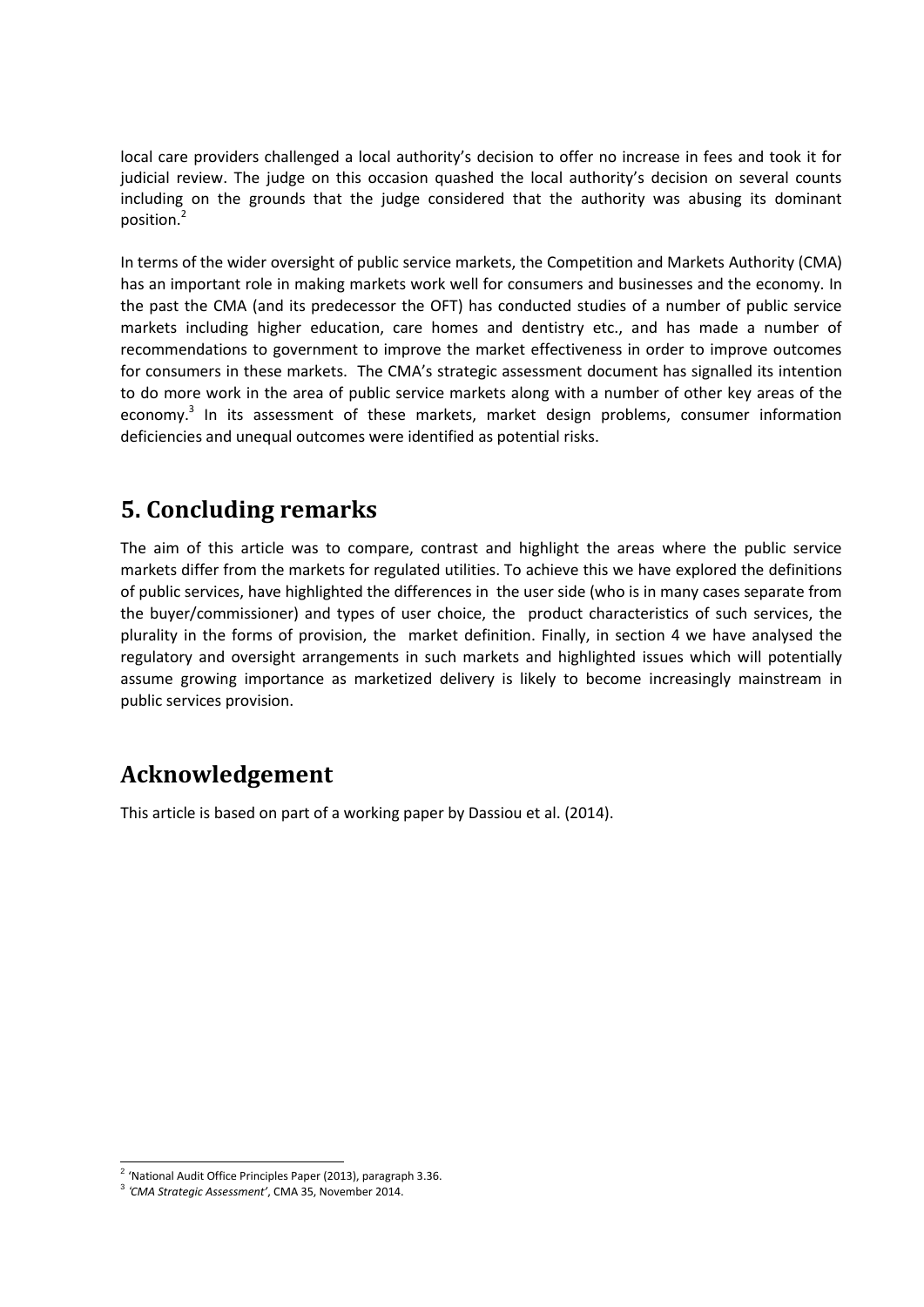local care providers challenged a local authority's decision to offer no increase in fees and took it for judicial review. The judge on this occasion quashed the local authority's decision on several counts including on the grounds that the judge considered that the authority was abusing its dominant position.<sup>2</sup>

In terms of the wider oversight of public service markets, the Competition and Markets Authority (CMA) has an important role in making markets work well for consumers and businesses and the economy. In the past the CMA (and its predecessor the OFT) has conducted studies of a number of public service markets including higher education, care homes and dentistry etc., and has made a number of recommendations to government to improve the market effectiveness in order to improve outcomes for consumers in these markets. The CMA's strategic assessment document has signalled its intention to do more work in the area of public service markets along with a number of other key areas of the economy.<sup>3</sup> In its assessment of these markets, market design problems, consumer information deficiencies and unequal outcomes were identified as potential risks.

#### **5. Concluding remarks**

The aim of this article was to compare, contrast and highlight the areas where the public service markets differ from the markets for regulated utilities. To achieve this we have explored the definitions of public services, have highlighted the differences in the user side (who is in many cases separate from the buyer/commissioner) and types of user choice, the product characteristics of such services, the plurality in the forms of provision, the market definition. Finally, in section 4 we have analysed the regulatory and oversight arrangements in such markets and highlighted issues which will potentially assume growing importance as marketized delivery is likely to become increasingly mainstream in public services provision.

## **Acknowledgement**

This article is based on part of a working paper by Dassiou et al. (2014).

 2 'National Audit Office Principles Paper (2013), paragraph 3.36.

<sup>3</sup> *'CMA Strategic Assessment'*, CMA 35, November 2014.